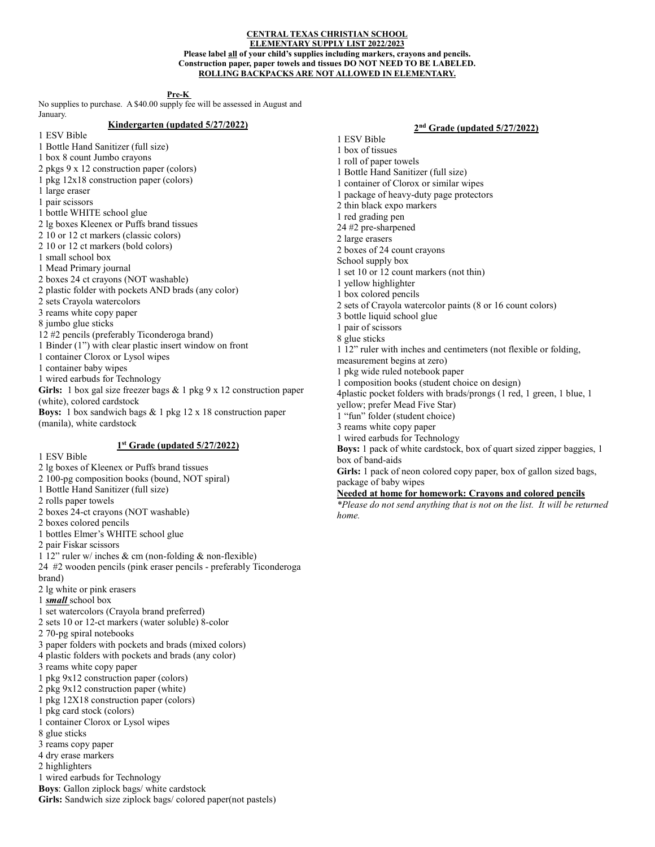#### CENTRAL TEXAS CHRISTIAN SCHOOL ELEMENTARY SUPPLY LIST 2022/2023 Please label **all** of your child's supplies including markers, crayons and pencils. Construction paper, paper towels and tissues DO NOT NEED TO BE LABELED. ROLLING BACKPACKS ARE NOT ALLOWED IN ELEMENTARY.

Pre-K

No supplies to purchase. A \$40.00 supply fee will be assessed in August and January.

# Kindergarten (updated 5/27/2022)

1 ESV Bible

- 1 Bottle Hand Sanitizer (full size) 1 box 8 count Jumbo crayons
- 2 pkgs 9 x 12 construction paper (colors)
- 1 pkg 12x18 construction paper (colors)
- 1 large eraser
- 1 pair scissors
- 1 bottle WHITE school glue
- 2 lg boxes Kleenex or Puffs brand tissues
- 2 10 or 12 ct markers (classic colors)
- 2 10 or 12 ct markers (bold colors)
- 1 small school box
- 1 Mead Primary journal
- 2 boxes 24 ct crayons (NOT washable)
- 2 plastic folder with pockets AND brads (any color)
- 2 sets Crayola watercolors
- 3 reams white copy paper
- 8 jumbo glue sticks
- 12 #2 pencils (preferably Ticonderoga brand)
- 1 Binder (1") with clear plastic insert window on front
- 1 container Clorox or Lysol wipes
- 1 container baby wipes
- 1 wired earbuds for Technology
- Girls: 1 box gal size freezer bags & 1 pkg 9 x 12 construction paper
- (white), colored cardstock
- Boys: 1 box sandwich bags & 1 pkg 12 x 18 construction paper (manila), white cardstock

## 1<sup>st</sup> Grade (updated 5/27/2022)

1 ESV Bible

- 2 lg boxes of Kleenex or Puffs brand tissues
- 2 100-pg composition books (bound, NOT spiral)
- 1 Bottle Hand Sanitizer (full size)
- 2 rolls paper towels
- 2 boxes 24-ct crayons (NOT washable)
- 2 boxes colored pencils
- 1 bottles Elmer's WHITE school glue
- 2 pair Fiskar scissors
- 1 12" ruler w/ inches & cm (non-folding & non-flexible)
- 24 #2 wooden pencils (pink eraser pencils preferably Ticonderoga brand)
- 2 lg white or pink erasers
- 1 **small** school box
- 1 set watercolors (Crayola brand preferred)
- 2 sets 10 or 12-ct markers (water soluble) 8-color
- 2 70-pg spiral notebooks
- 3 paper folders with pockets and brads (mixed colors)
- 4 plastic folders with pockets and brads (any color)
- 3 reams white copy paper
- 1 pkg 9x12 construction paper (colors)
- 2 pkg 9x12 construction paper (white)
- 1 pkg 12X18 construction paper (colors)
- 1 pkg card stock (colors)
- 1 container Clorox or Lysol wipes
- 8 glue sticks
- 3 reams copy paper
- 4 dry erase markers
- 2 highlighters
- 1 wired earbuds for Technology
- Boys: Gallon ziplock bags/ white cardstock

Girls: Sandwich size ziplock bags/colored paper(not pastels)

2<sup>nd</sup> Grade (updated 5/27/2022)

1 ESV Bible 1 box of tissues 1 roll of paper towels 1 Bottle Hand Sanitizer (full size) 1 container of Clorox or similar wipes 1 package of heavy-duty page protectors 2 thin black expo markers 1 red grading pen 24 #2 pre-sharpened 2 large erasers 2 boxes of 24 count crayons School supply box 1 set 10 or 12 count markers (not thin) 1 yellow highlighter 1 box colored pencils 2 sets of Crayola watercolor paints (8 or 16 count colors) 3 bottle liquid school glue 1 pair of scissors 8 glue sticks 1 12" ruler with inches and centimeters (not flexible or folding, measurement begins at zero) 1 pkg wide ruled notebook paper 1 composition books (student choice on design) 4plastic pocket folders with brads/prongs (1 red, 1 green, 1 blue, 1 yellow; prefer Mead Five Star) 1 "fun" folder (student choice) 3 reams white copy paper 1 wired earbuds for Technology Boys: 1 pack of white cardstock, box of quart sized zipper baggies, 1 box of band-aids Girls: 1 pack of neon colored copy paper, box of gallon sized bags, package of baby wipes

Needed at home for homework: Crayons and colored pencils

\*Please do not send anything that is not on the list. It will be returned home.